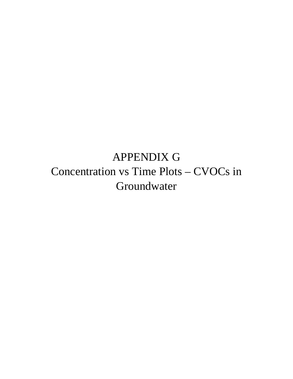APPENDIX G Concentration vs Time Plots – CVOCs in Groundwater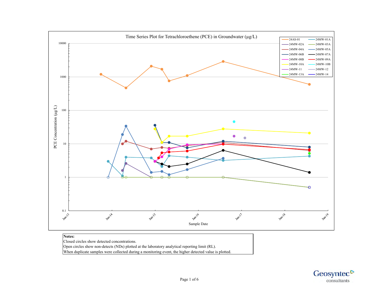

## **Notes:**  Closed circles show detected concentrations. Open circles show non-detects (NDs) plotted at the laboratory analytical reporting limit (RL). When duplicate samples were collected during a monitoring event, the higher detected value is plotted.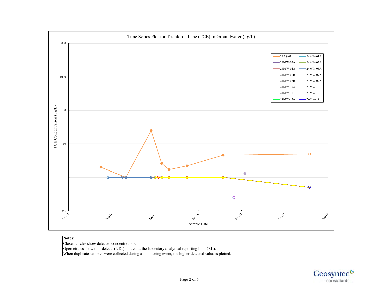

## **Notes:**

Closed circles show detected concentrations.

Open circles show non-detects (NDs) plotted at the laboratory analytical reporting limit (RL). When duplicate samples were collected during a monitoring event, the higher detected value is plotted.

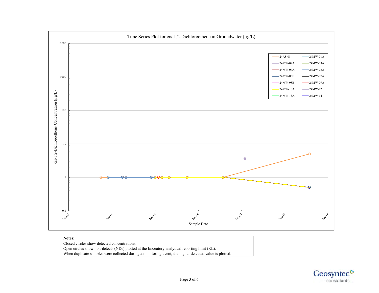

Closed circles show detected concentrations. Open circles show non-detects (NDs) plotted at the laboratory analytical reporting limit (RL).

When duplicate samples were collected during a monitoring event, the higher detected value is plotted.

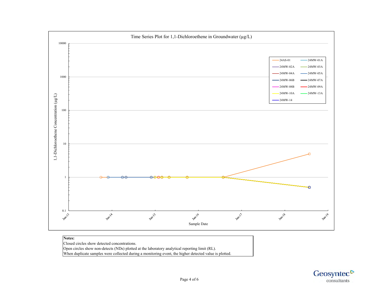

## Closed circles show detected concentrations. Open circles show non-detects (NDs) plotted at the laboratory analytical reporting limit (RL). When duplicate samples were collected during a monitoring event, the higher detected value is plotted.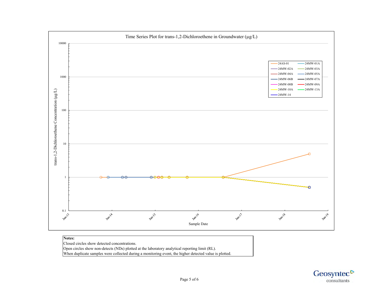

## **Notes:**  Closed circles show detected concentrations. Open circles show non-detects (NDs) plotted at the laboratory analytical reporting limit (RL).

When duplicate samples were collected during a monitoring event, the higher detected value is plotted.